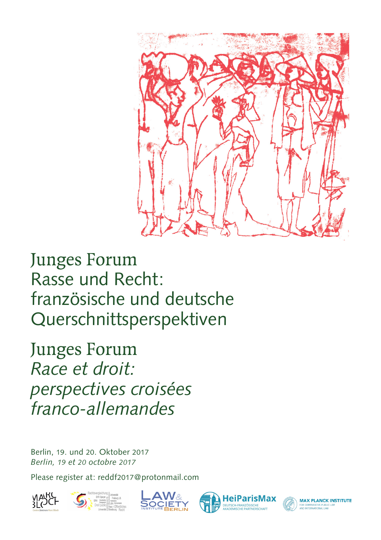

Junges Forum Rasse und Recht: französische und deutsche Querschnittsperspektiven

Junges Forum *Race et droit: perspectives croisées franco-allemandes*

Berlin, 19. und 20. Oktober 2017 *Berlin, 19 et 20 octobre 2017*

Please register at: reddf2017@protonmail.com









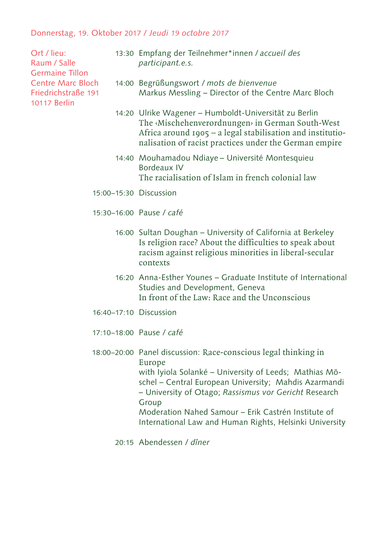## Donnerstag, 19. Oktober 2017 / *Jeudi 19 octobre 2017*

Ort / lieu: Raum / Salle Germaine Tillon Centre Marc Bloch Friedrichstraße 191 10117 Berlin

- 13:30 Empfang der Teilnehmer\*innen / accueil des *participant.e.s.*
- Begrüßungswort / *mots de bienvenue*  14:00 Markus Messling – Director of the Centre Marc Bloch
- 14:20 Ulrike Wagener Humboldt-Universität zu Berlin The ‹Mischehenverordnungen› in German South-West Africa around 1905 – a legal stabilisation and institutionalisation of racist practices under the German empire
- 14:40 Mouhamadou Ndiaye Université Montesquieu Bordeaux IV The racialisation of Islam in french colonial law
- 15:00-15:30 Discussion
- 15:30-16:00 Pause / café
	- 16:00 Sultan Doughan University of California at Berkeley Is religion race? About the difficulties to speak about racism against religious minorities in liberal-secular contexts
	- 16:20 Anna-Esther Younes Graduate Institute of International Studies and Development, Geneva In front of the Law: Race and the Unconscious
- 16:40-17:10 Discussion
- 17:10-18:00 Pause / café
- 18:00-20:00 Panel discussion: Race-conscious legal thinking in Europe with Iyiola Solanké – University of Leeds; Mathias Möschel – Central European University; Mahdis Azarmandi – University of Otago; *Rassismus vor Gericht* Research Group Moderation Nahed Samour – Erik Castrén Institute of International Law and Human Rights, Helsinki University
	- 20:15 Abendessen / dîner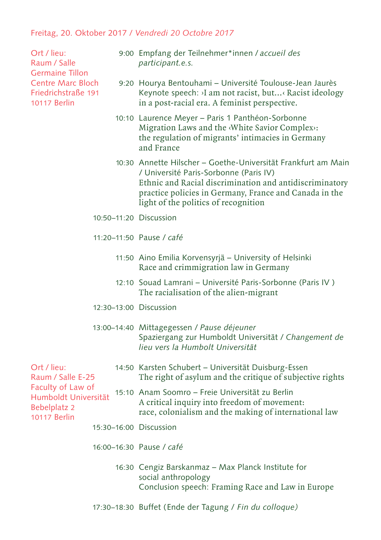## Freitag, 20. Oktober 2017 / *Vendredi 20 Octobre 2017*

Ort / lieu: Raum / Salle Germaine Tillon Centre Marc Bloch Friedrichstraße 191 10117 Berlin

- 9:00 Empfang der Teilnehmer\*innen / *accueil des participant.e.s.*
- 9:20 Hourya Bentouhami Université Toulouse-Jean Jaurès Keynote speech: ›I am not racist, but...‹ Racist ideology in a post-racial era. A feminist perspective.
- 10:10 Laurence Meyer Paris 1 Panthéon-Sorbonne Migration Laws and the ‹White Savior Complex›: the regulation of migrants' intimacies in Germany and France
- 10:30 Annette Hilscher Goethe-Universität Frankfurt am Main / Université Paris-Sorbonne (Paris IV) Ethnic and Racial discrimination and antidiscriminatory practice policies in Germany, France and Canada in the light of the politics of recognition
- 10:50–11:20 Discussion
- 11:20–11:50 Pause / *café*
	- 11:50 Aino Emilia Korvensyrjä University of Helsinki Race and crimmigration law in Germany
	- 12:10 Souad Lamrani Université Paris-Sorbonne (Paris IV ) The racialisation of the alien-migrant
- 12:30–13:00 Discussion

## 13:00–14:40 Mittagegessen / *Pause déjeuner* Spaziergang zur Humboldt Universität / *Changement de lieu vers la Humbolt Universität*

- 14:50 Karsten Schubert Universität Duisburg-Essen The right of asylum and the critique of subjective rights Ort / lieu: Raum / Salle E-25 Faculty of Law of
- 15:10 Anam Soomro Freie Universität zu Berlin A critical inquiry into freedom of movement: race, colonialism and the making of international law Humboldt Universität Bebelplatz 2 10117 Berlin
	- 15:30–16:00 Discussion
	- 16:00–16:30 Pause / *café*
		- 16:30 Cengiz Barskanmaz Max Planck Institute for social anthropology Conclusion speech: Framing Race and Law in Europe
	- 17:30–18:30 Buffet (Ende der Tagung / *Fin du colloque)*